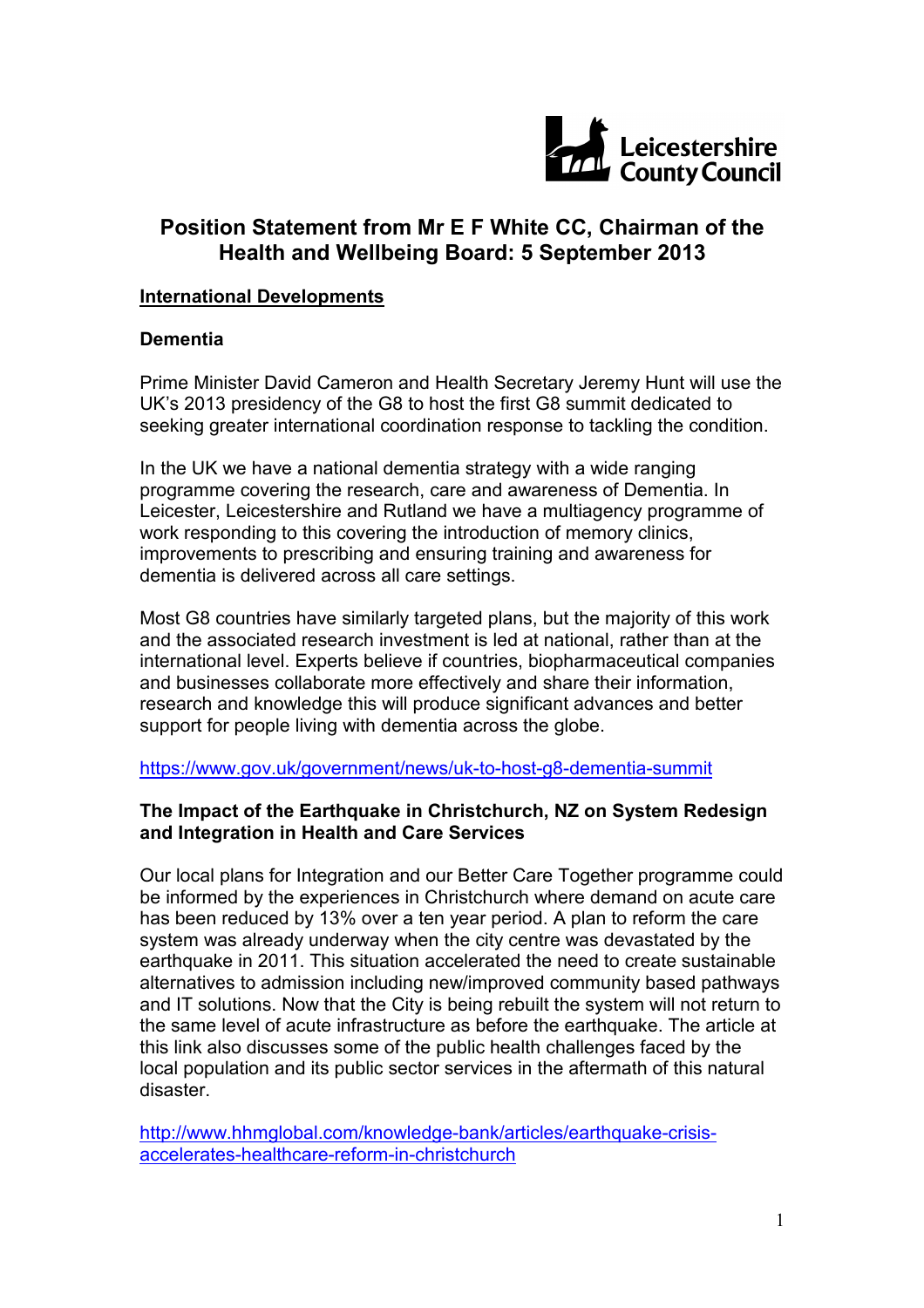

## **Position Statement from Mr E F White CC, Chairman of the Health and Wellbeing Board: 5 September 2013**

#### **International Developments**

#### **Dementia**

Prime Minister David Cameron and Health Secretary Jeremy Hunt will use the UK's 2013 presidency of the G8 to host the first G8 summit dedicated to seeking greater international coordination response to tackling the condition.

In the UK we have a national dementia strategy with a wide ranging programme covering the research, care and awareness of Dementia. In Leicester, Leicestershire and Rutland we have a multiagency programme of work responding to this covering the introduction of memory clinics, improvements to prescribing and ensuring training and awareness for dementia is delivered across all care settings.

Most G8 countries have similarly targeted plans, but the majority of this work and the associated research investment is led at national, rather than at the international level. Experts believe if countries, biopharmaceutical companies and businesses collaborate more effectively and share their information, research and knowledge this will produce significant advances and better support for people living with dementia across the globe.

https://www.gov.uk/government/news/uk-to-host-g8-dementia-summit

### **The Impact of the Earthquake in Christchurch, NZ on System Redesign and Integration in Health and Care Services**

Our local plans for Integration and our Better Care Together programme could be informed by the experiences in Christchurch where demand on acute care has been reduced by 13% over a ten year period. A plan to reform the care system was already underway when the city centre was devastated by the earthquake in 2011. This situation accelerated the need to create sustainable alternatives to admission including new/improved community based pathways and IT solutions. Now that the City is being rebuilt the system will not return to the same level of acute infrastructure as before the earthquake. The article at this link also discusses some of the public health challenges faced by the local population and its public sector services in the aftermath of this natural disaster.

http://www.hhmglobal.com/knowledge-bank/articles/earthquake-crisisaccelerates-healthcare-reform-in-christchurch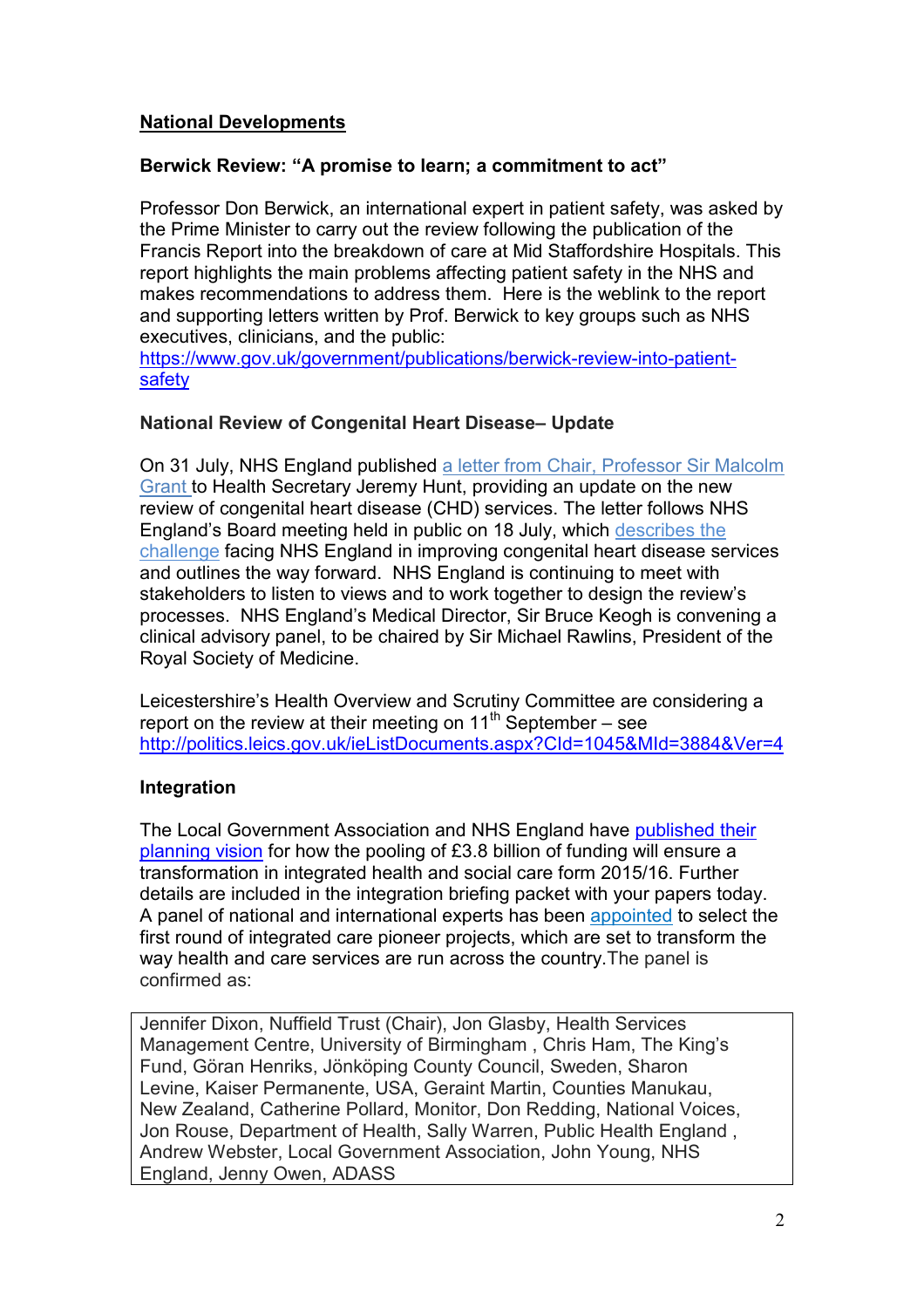## **National Developments**

#### **Berwick Review: "A promise to learn; a commitment to act"**

Professor Don Berwick, an international expert in patient safety, was asked by the Prime Minister to carry out the review following the publication of the Francis Report into the breakdown of care at Mid Staffordshire Hospitals. This report highlights the main problems affecting patient safety in the NHS and makes recommendations to address them. Here is the weblink to the report and supporting letters written by Prof. Berwick to key groups such as NHS executives, clinicians, and the public:

https://www.gov.uk/government/publications/berwick-review-into-patient**safety** 

#### **National Review of Congenital Heart Disease– Update**

On 31 July, NHS England published a letter from Chair, Professor Sir Malcolm Grant to Health Secretary Jeremy Hunt, providing an update on the new review of congenital heart disease (CHD) services. The letter follows NHS England's Board meeting held in public on 18 July, which describes the challenge facing NHS England in improving congenital heart disease services and outlines the way forward. NHS England is continuing to meet with stakeholders to listen to views and to work together to design the review's processes. NHS England's Medical Director, Sir Bruce Keogh is convening a clinical advisory panel, to be chaired by Sir Michael Rawlins, President of the Royal Society of Medicine.

Leicestershire's Health Overview and Scrutiny Committee are considering a report on the review at their meeting on  $11<sup>th</sup>$  September – see http://politics.leics.gov.uk/ieListDocuments.aspx?CId=1045&MId=3884&Ver=4

## **Integration**

The Local Government Association and NHS England have published their planning vision for how the pooling of £3.8 billion of funding will ensure a transformation in integrated health and social care form 2015/16. Further details are included in the integration briefing packet with your papers today. A panel of national and international experts has been appointed to select the first round of integrated care pioneer projects, which are set to transform the way health and care services are run across the country.The panel is confirmed as:

Jennifer Dixon, Nuffield Trust (Chair), Jon Glasby, Health Services Management Centre, University of Birmingham , Chris Ham, The King's Fund, Göran Henriks, Jönköping County Council, Sweden, Sharon Levine, Kaiser Permanente, USA, Geraint Martin, Counties Manukau, New Zealand, Catherine Pollard, Monitor, Don Redding, National Voices, Jon Rouse, Department of Health, Sally Warren, Public Health England , Andrew Webster, Local Government Association, John Young, NHS England, Jenny Owen, ADASS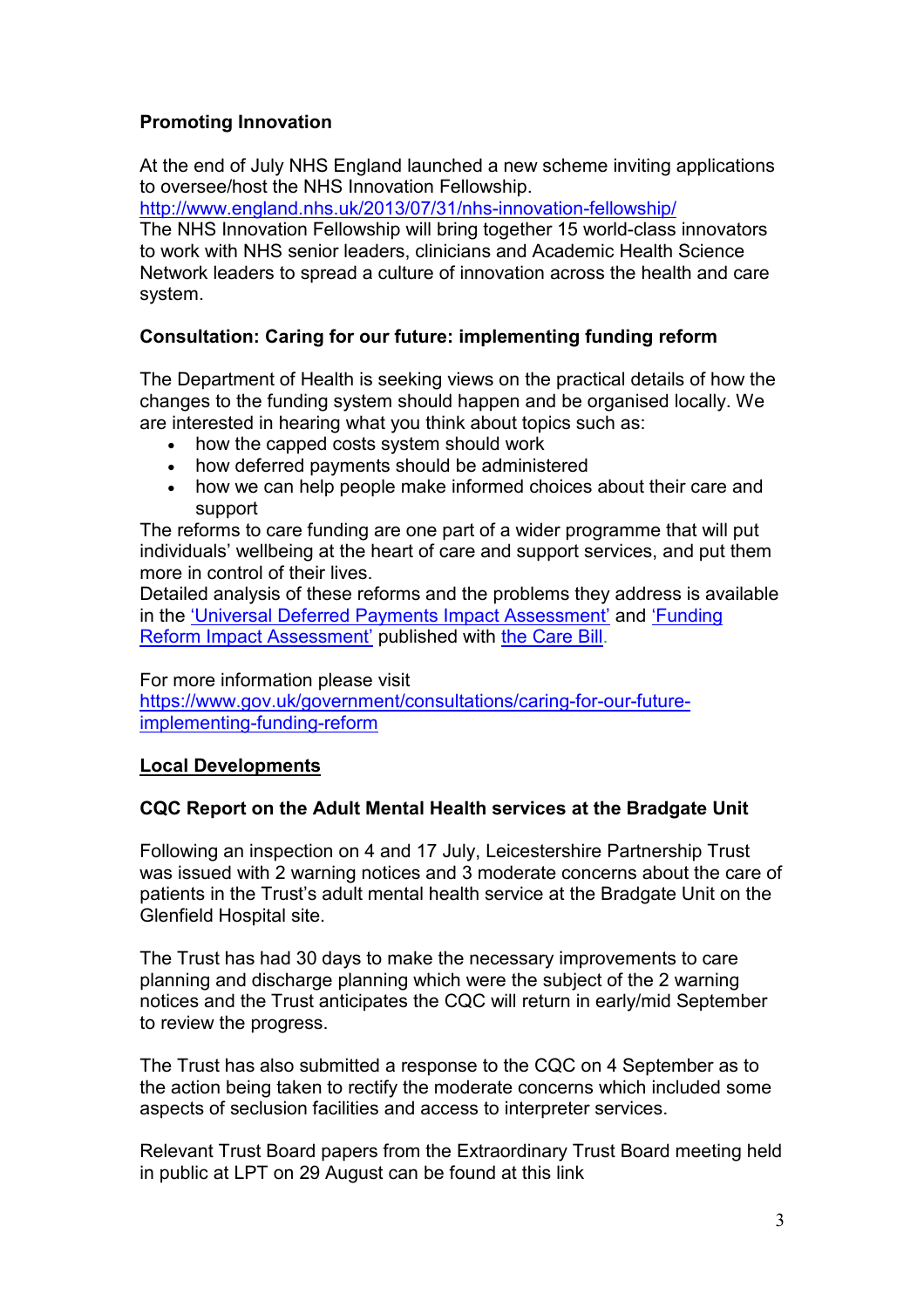## **Promoting Innovation**

At the end of July NHS England launched a new scheme inviting applications to oversee/host the NHS Innovation Fellowship.

http://www.england.nhs.uk/2013/07/31/nhs-innovation-fellowship/

The NHS Innovation Fellowship will bring together 15 world-class innovators to work with NHS senior leaders, clinicians and Academic Health Science Network leaders to spread a culture of innovation across the health and care system.

## **Consultation: Caring for our future: implementing funding reform**

The Department of Health is seeking views on the practical details of how the changes to the funding system should happen and be organised locally. We are interested in hearing what you think about topics such as:

- how the capped costs system should work
- how deferred payments should be administered
- how we can help people make informed choices about their care and support

The reforms to care funding are one part of a wider programme that will put individuals' wellbeing at the heart of care and support services, and put them more in control of their lives.

Detailed analysis of these reforms and the problems they address is available in the 'Universal Deferred Payments Impact Assessment' and 'Funding Reform Impact Assessment' published with the Care Bill.

For more information please visit

https://www.gov.uk/government/consultations/caring-for-our-futureimplementing-funding-reform

#### **Local Developments**

## **CQC Report on the Adult Mental Health services at the Bradgate Unit**

Following an inspection on 4 and 17 July, Leicestershire Partnership Trust was issued with 2 warning notices and 3 moderate concerns about the care of patients in the Trust's adult mental health service at the Bradgate Unit on the Glenfield Hospital site.

The Trust has had 30 days to make the necessary improvements to care planning and discharge planning which were the subject of the 2 warning notices and the Trust anticipates the CQC will return in early/mid September to review the progress.

The Trust has also submitted a response to the CQC on 4 September as to the action being taken to rectify the moderate concerns which included some aspects of seclusion facilities and access to interpreter services.

Relevant Trust Board papers from the Extraordinary Trust Board meeting held in public at LPT on 29 August can be found at this link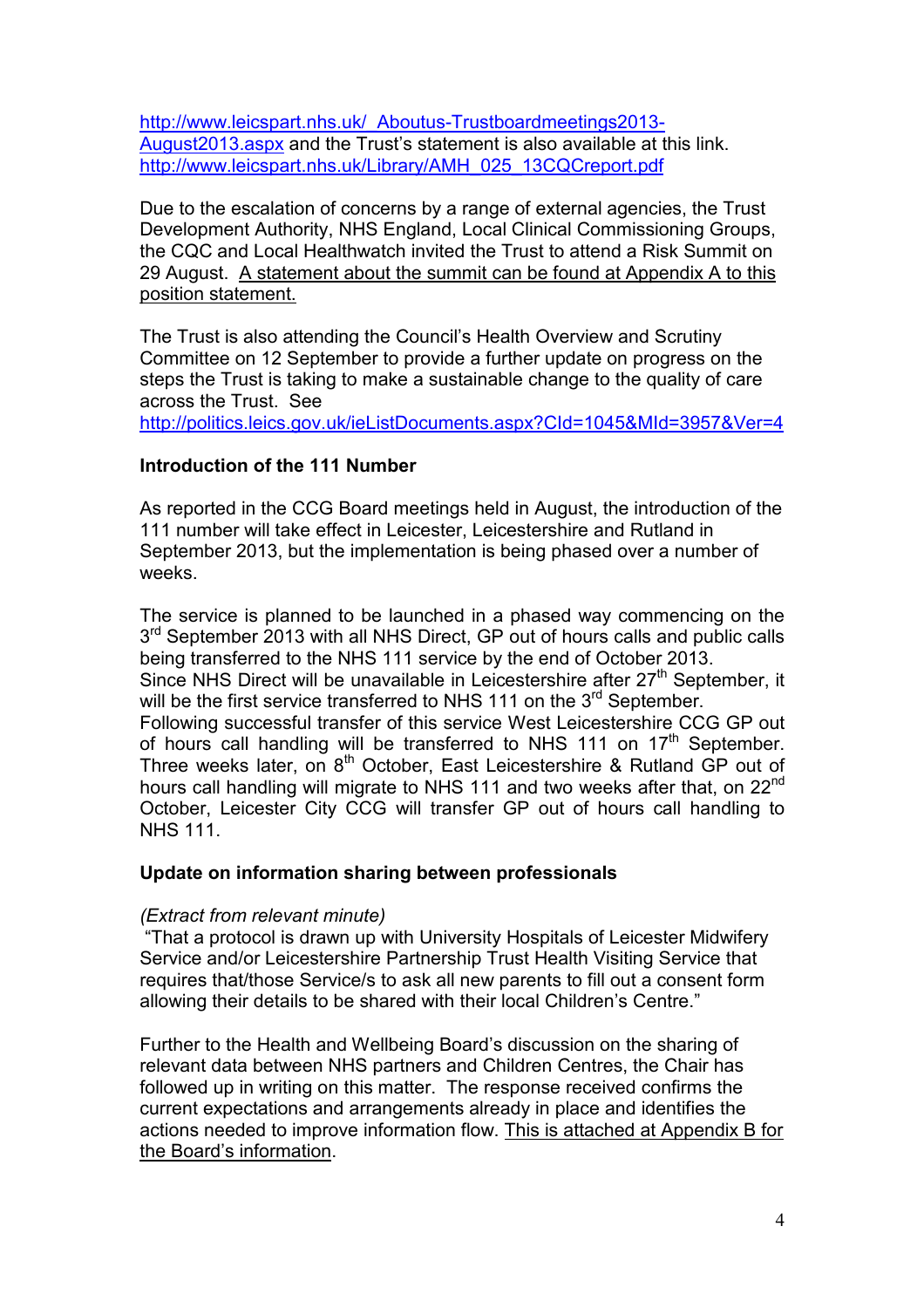http://www.leicspart.nhs.uk/ Aboutus-Trustboardmeetings2013-August2013.aspx and the Trust's statement is also available at this link. http://www.leicspart.nhs.uk/Library/AMH\_025\_13CQCreport.pdf

Due to the escalation of concerns by a range of external agencies, the Trust Development Authority, NHS England, Local Clinical Commissioning Groups, the CQC and Local Healthwatch invited the Trust to attend a Risk Summit on 29 August. A statement about the summit can be found at Appendix A to this position statement.

The Trust is also attending the Council's Health Overview and Scrutiny Committee on 12 September to provide a further update on progress on the steps the Trust is taking to make a sustainable change to the quality of care across the Trust. See

http://politics.leics.gov.uk/ieListDocuments.aspx?CId=1045&MId=3957&Ver=4

#### **Introduction of the 111 Number**

As reported in the CCG Board meetings held in August, the introduction of the 111 number will take effect in Leicester, Leicestershire and Rutland in September 2013, but the implementation is being phased over a number of weeks.

The service is planned to be launched in a phased way commencing on the 3<sup>rd</sup> September 2013 with all NHS Direct, GP out of hours calls and public calls being transferred to the NHS 111 service by the end of October 2013. Since NHS Direct will be unavailable in Leicestershire after  $27<sup>th</sup>$  September, it will be the first service transferred to NHS 111 on the 3<sup>rd</sup> September. Following successful transfer of this service West Leicestershire CCG GP out of hours call handling will be transferred to NHS 111 on 17<sup>th</sup> September. Three weeks later, on  $8<sup>th</sup>$  October, East Leicestershire & Rutland GP out of hours call handling will migrate to NHS 111 and two weeks after that, on 22<sup>nd</sup> October, Leicester City CCG will transfer GP out of hours call handling to NHS 111.

#### **Update on information sharing between professionals**

#### *(Extract from relevant minute)*

 "That a protocol is drawn up with University Hospitals of Leicester Midwifery Service and/or Leicestershire Partnership Trust Health Visiting Service that requires that/those Service/s to ask all new parents to fill out a consent form allowing their details to be shared with their local Children's Centre."

Further to the Health and Wellbeing Board's discussion on the sharing of relevant data between NHS partners and Children Centres, the Chair has followed up in writing on this matter. The response received confirms the current expectations and arrangements already in place and identifies the actions needed to improve information flow. This is attached at Appendix B for the Board's information.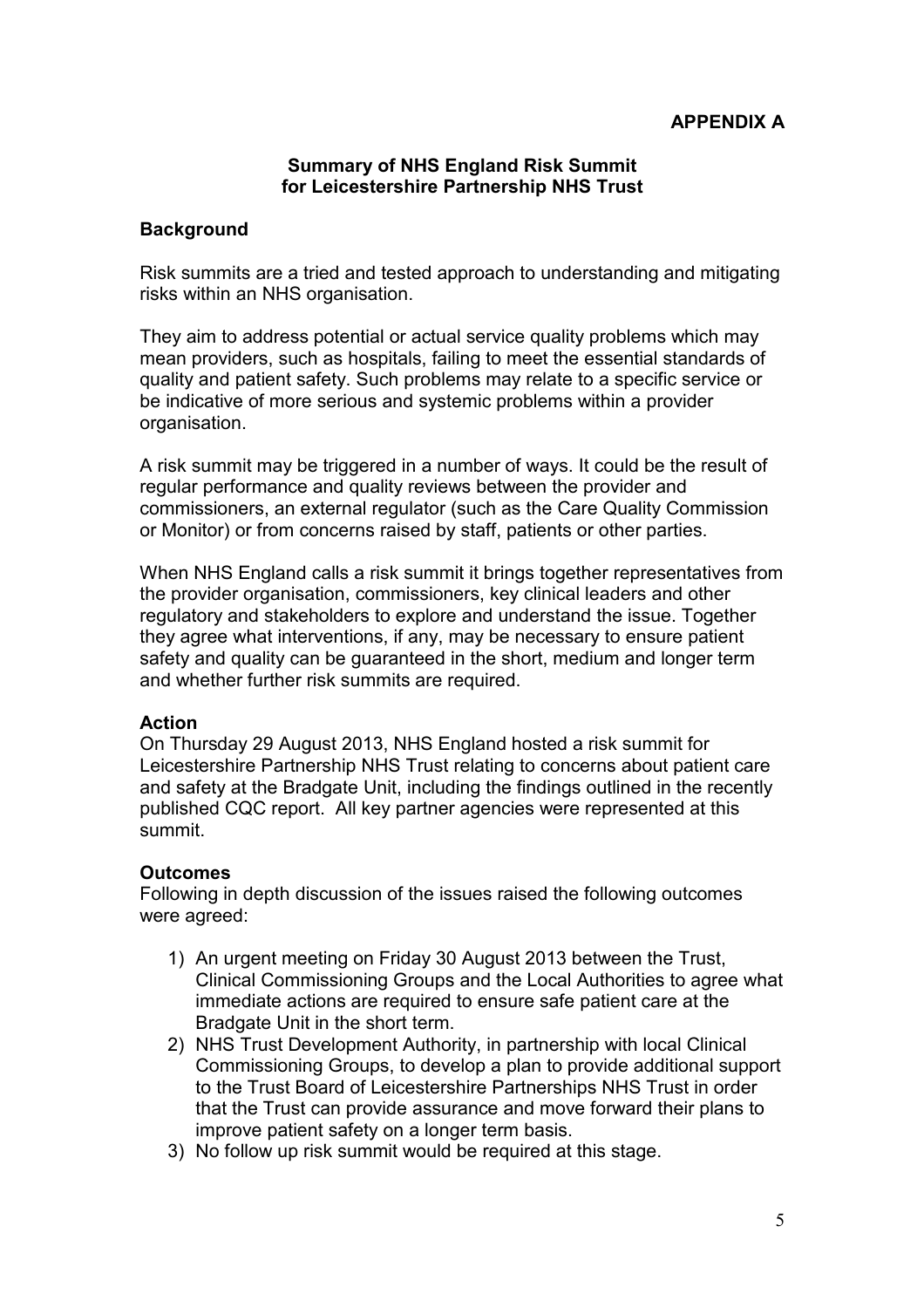#### **Summary of NHS England Risk Summit for Leicestershire Partnership NHS Trust**

#### **Background**

Risk summits are a tried and tested approach to understanding and mitigating risks within an NHS organisation.

They aim to address potential or actual service quality problems which may mean providers, such as hospitals, failing to meet the essential standards of quality and patient safety. Such problems may relate to a specific service or be indicative of more serious and systemic problems within a provider organisation.

A risk summit may be triggered in a number of ways. It could be the result of regular performance and quality reviews between the provider and commissioners, an external regulator (such as the Care Quality Commission or Monitor) or from concerns raised by staff, patients or other parties.

When NHS England calls a risk summit it brings together representatives from the provider organisation, commissioners, key clinical leaders and other regulatory and stakeholders to explore and understand the issue. Together they agree what interventions, if any, may be necessary to ensure patient safety and quality can be guaranteed in the short, medium and longer term and whether further risk summits are required.

#### **Action**

On Thursday 29 August 2013, NHS England hosted a risk summit for Leicestershire Partnership NHS Trust relating to concerns about patient care and safety at the Bradgate Unit, including the findings outlined in the recently published CQC report. All key partner agencies were represented at this summit.

#### **Outcomes**

Following in depth discussion of the issues raised the following outcomes were agreed:

- 1) An urgent meeting on Friday 30 August 2013 between the Trust, Clinical Commissioning Groups and the Local Authorities to agree what immediate actions are required to ensure safe patient care at the Bradgate Unit in the short term.
- 2) NHS Trust Development Authority, in partnership with local Clinical Commissioning Groups, to develop a plan to provide additional support to the Trust Board of Leicestershire Partnerships NHS Trust in order that the Trust can provide assurance and move forward their plans to improve patient safety on a longer term basis.
- 3) No follow up risk summit would be required at this stage.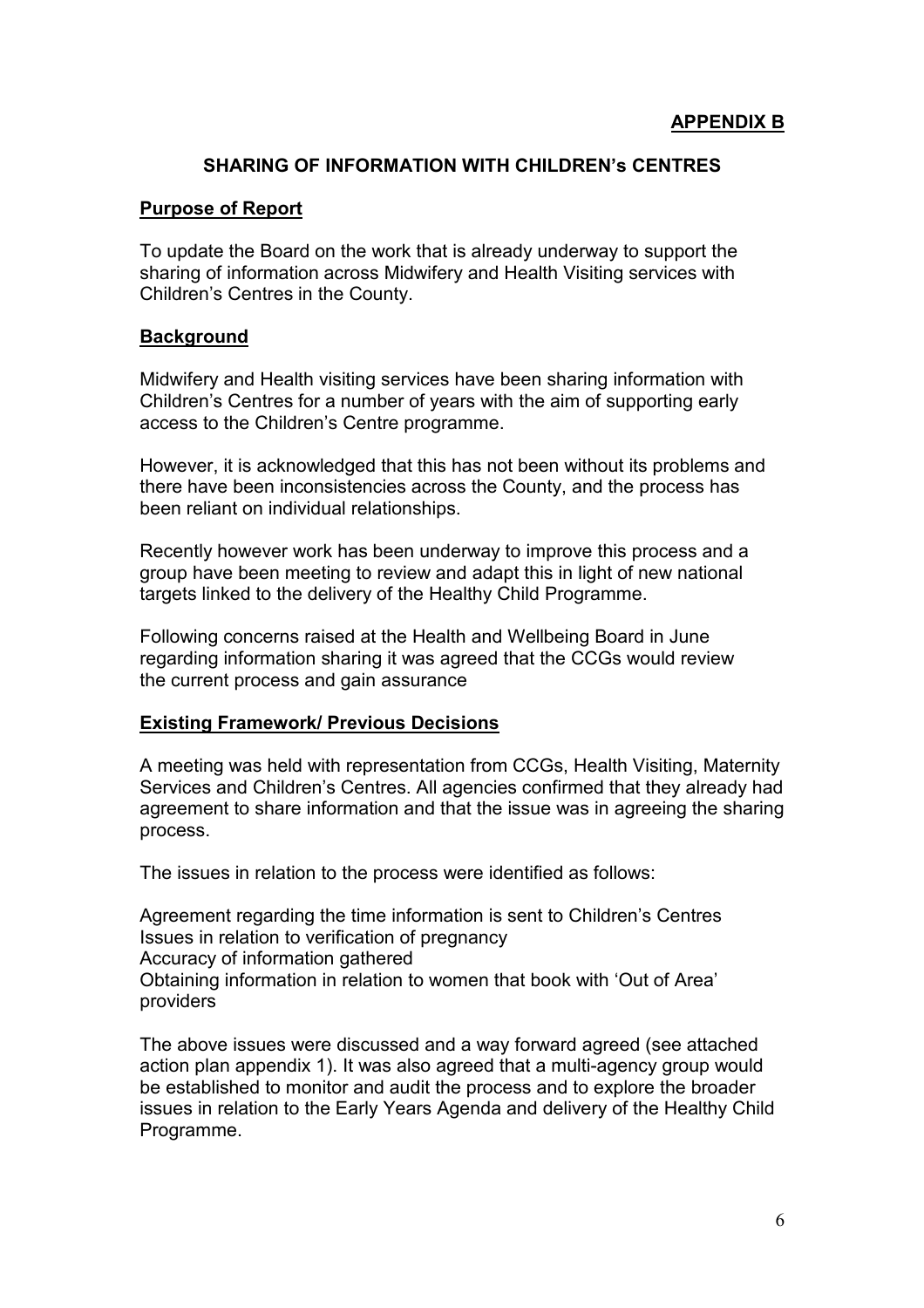#### **SHARING OF INFORMATION WITH CHILDREN's CENTRES**

#### **Purpose of Report**

To update the Board on the work that is already underway to support the sharing of information across Midwifery and Health Visiting services with Children's Centres in the County.

#### **Background**

Midwifery and Health visiting services have been sharing information with Children's Centres for a number of years with the aim of supporting early access to the Children's Centre programme.

However, it is acknowledged that this has not been without its problems and there have been inconsistencies across the County, and the process has been reliant on individual relationships.

Recently however work has been underway to improve this process and a group have been meeting to review and adapt this in light of new national targets linked to the delivery of the Healthy Child Programme.

Following concerns raised at the Health and Wellbeing Board in June regarding information sharing it was agreed that the CCGs would review the current process and gain assurance

#### **Existing Framework/ Previous Decisions**

A meeting was held with representation from CCGs, Health Visiting, Maternity Services and Children's Centres. All agencies confirmed that they already had agreement to share information and that the issue was in agreeing the sharing process.

The issues in relation to the process were identified as follows:

Agreement regarding the time information is sent to Children's Centres Issues in relation to verification of pregnancy Accuracy of information gathered Obtaining information in relation to women that book with 'Out of Area' providers

The above issues were discussed and a way forward agreed (see attached action plan appendix 1). It was also agreed that a multi-agency group would be established to monitor and audit the process and to explore the broader issues in relation to the Early Years Agenda and delivery of the Healthy Child Programme.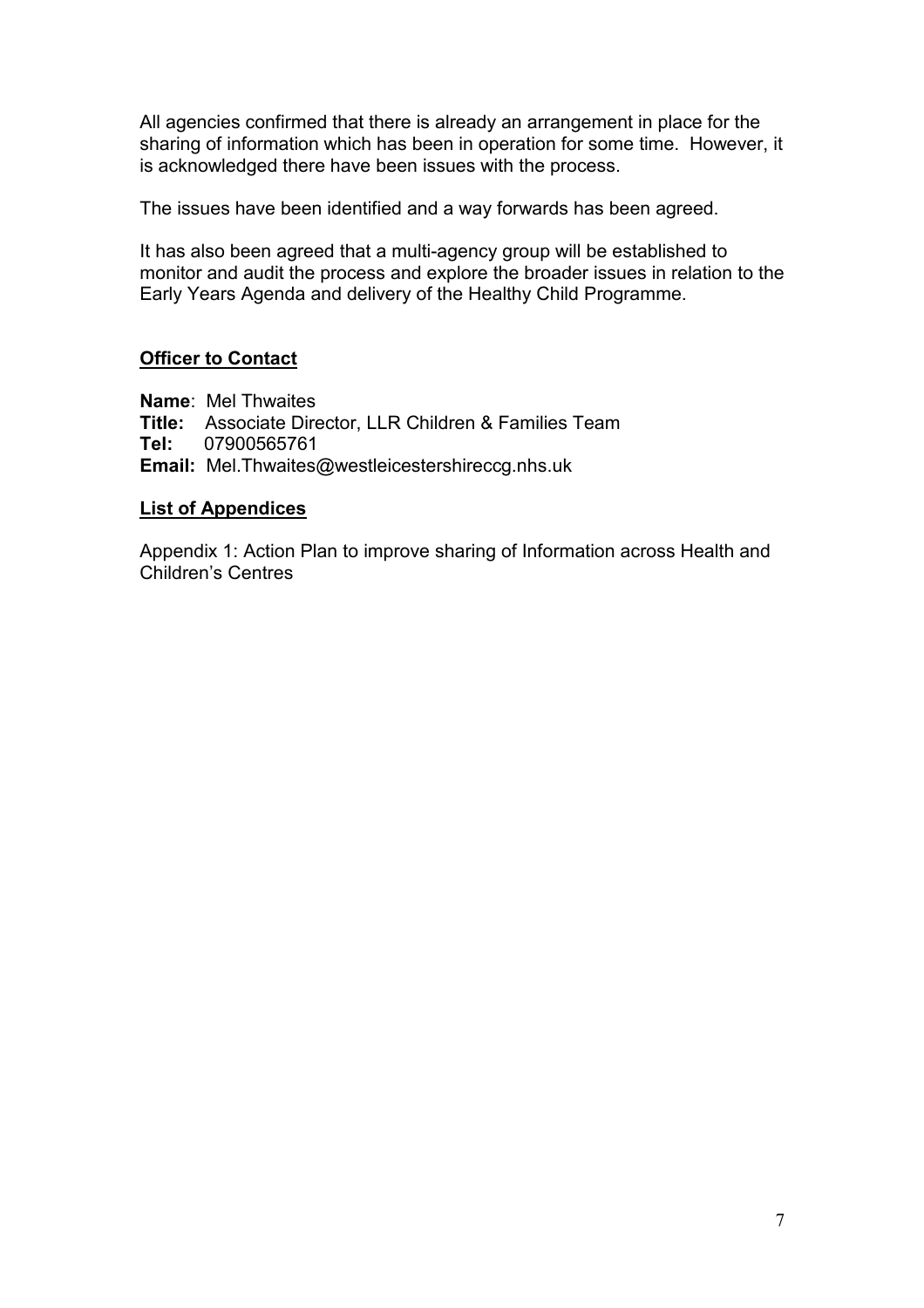All agencies confirmed that there is already an arrangement in place for the sharing of information which has been in operation for some time. However, it is acknowledged there have been issues with the process.

The issues have been identified and a way forwards has been agreed.

It has also been agreed that a multi-agency group will be established to monitor and audit the process and explore the broader issues in relation to the Early Years Agenda and delivery of the Healthy Child Programme.

### **Officer to Contact**

**Name**: Mel Thwaites **Title:** Associate Director, LLR Children & Families Team **Tel:** 07900565761 **Email:** Mel.Thwaites@westleicestershireccg.nhs.uk

#### **List of Appendices**

Appendix 1: Action Plan to improve sharing of Information across Health and Children's Centres